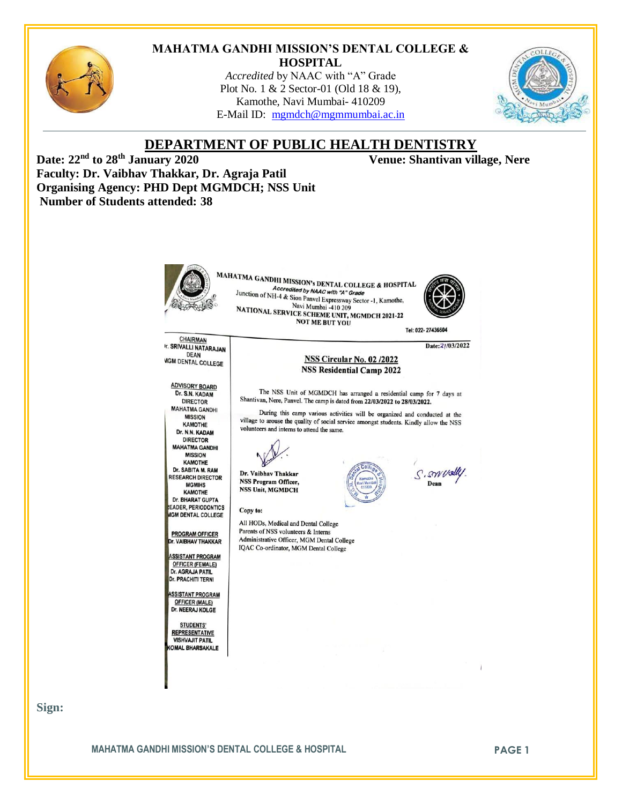

#### **MAHATMA GANDHI MISSION'S DENTAL COLLEGE & HOSPITAL**

*Accredited* by NAAC with "A" Grade Plot No. 1 & 2 Sector-01 (Old 18 & 19), Kamothe, Navi Mumbai- 410209 E-Mail ID: [mgmdch@mgmmumbai.ac.in](mailto:mgmdch@mgmmumbai.ac.in)



#### **DEPARTMENT OF PUBLIC HEALTH DENTISTRY Date: 22nd to 28th January 2020 Venue: Shantivan village, Nere Faculty: Dr. Vaibhav Thakkar, Dr. Agraja Patil Organising Agency: PHD Dept MGMDCH; NSS Unit Number of Students attended: 38** MAHATMA GANDHI MISSION's DENTAL COLLEGE & HOSPITAL Accredited by NAAC with "A" Grade Junction of NH-4 & Sion Panvel Expressway Sector -1, Kamothe, Navi Mumbai -410 209 Navi Mumbai -410 209<br>NATIONAL SERVICE SCHEME UNIT, MGMDCH 2021-22<br>NOT ME BUT VOU **NOT ME BUT YOU** Tel: 022-27436604 **CHAIRMAN** Date: 2/03/2022 **r. SRIVALLI NATARAJAN DEAN** NSS Circular No. 02 /2022 **MGM DENTAL COLLEGE NSS Residential Camp 2022 ADVISORY BOARD** The NSS Unit of MGMDCH has arranged a residential camp for 7 days at Dr. S.N. KADAM Shantivan, Nere, Panvel. The camp is dated from 22/03/2022 to 28/03/2022. **DIRECTOR MAHATMA GANDHI** During this camp various activities will be organized and conducted at the **MISSION** village to arouse the quality of social service amongst students. Kindly allow the NSS **KAMOTHE** volunteers and interns to attend the same. Dr. N.N. KADAM **DIRECTOR MAHATMA GANDHI MISSION KAMOTHE** Dr. SABITA M. RAM S. swudly Dr. Vaibhav Thakkar **RESEARCH DIRECTOR NSS Program Officer,** Dean **MGMIHS NSS Unit, MGMDCH** KAMOTHE Dr. BHARAT GUPTA **EADER, PERIODONTICS** Copy to: **GM DENTAL COLLEGE** All HODs, Medical and Dental College Parents of NSS volunteers & Interns **PROGRAM OFFICER** Administrative Officer, MGM Dental College **r. VAIBHAV THAKKAR** IQAC Co-ordinator, MGM Dental College **ASSISTANT PROGRAM OFFICER (FEMALE)** Dr. AGRAJA PATIL Dr. PRACHITI TERNI **SSISTANT PROGRAM OFFICER (MALE)** Dr. NEERAJ KOLGE **STUDENTS' REPRESENTATIVE VISHVAJIT PATIL OMAL BHARSAKALE**

**Sign:**

**MAHATMA GANDHI MISSION'S DENTAL COLLEGE & HOSPITAL PAGE 1**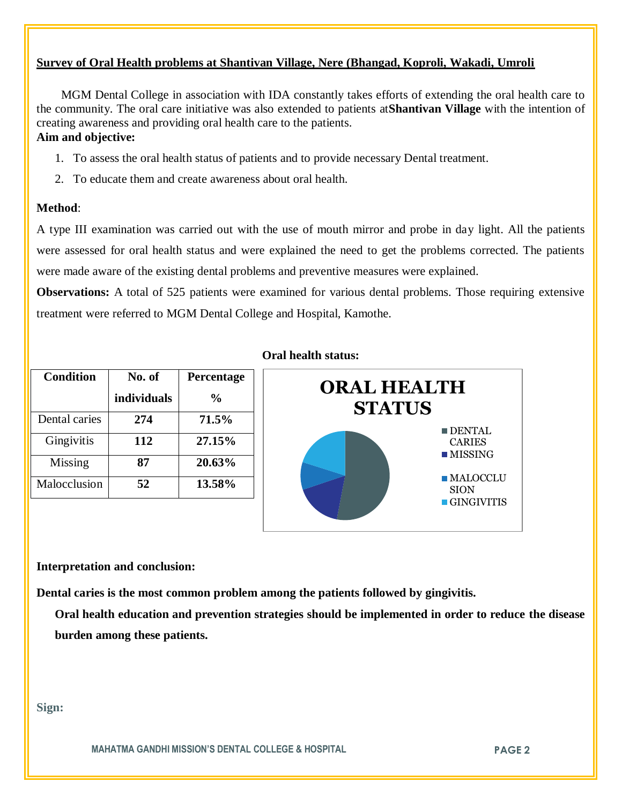## **Survey of Oral Health problems at Shantivan Village, Nere (Bhangad, Koproli, Wakadi, Umroli**

 MGM Dental College in association with IDA constantly takes efforts of extending the oral health care to the community. The oral care initiative was also extended to patients at**Shantivan Village** with the intention of creating awareness and providing oral health care to the patients. **Aim and objective:** 

### 1. To assess the oral health status of patients and to provide necessary Dental treatment.

2. To educate them and create awareness about oral health.

### **Method**:

A type III examination was carried out with the use of mouth mirror and probe in day light. All the patients were assessed for oral health status and were explained the need to get the problems corrected. The patients were made aware of the existing dental problems and preventive measures were explained.

**Observations:** A total of 525 patients were examined for various dental problems. Those requiring extensive treatment were referred to MGM Dental College and Hospital, Kamothe.

| <b>Condition</b> | No. of      | Percentage     |
|------------------|-------------|----------------|
|                  | individuals | $\frac{6}{10}$ |
| Dental caries    | 274         | 71.5%          |
| Gingivitis       | 112         | 27.15%         |
| Missing          | 87          | 20.63%         |
| Malocclusion     | 52          | 13.58%         |

#### **Oral health status:**



#### **Interpretation and conclusion:**

**Dental caries is the most common problem among the patients followed by gingivitis.**

**Oral health education and prevention strategies should be implemented in order to reduce the disease burden among these patients.**

**Sign:**

**MAHATMA GANDHI MISSION'S DENTAL COLLEGE & HOSPITAL PAGE 2**